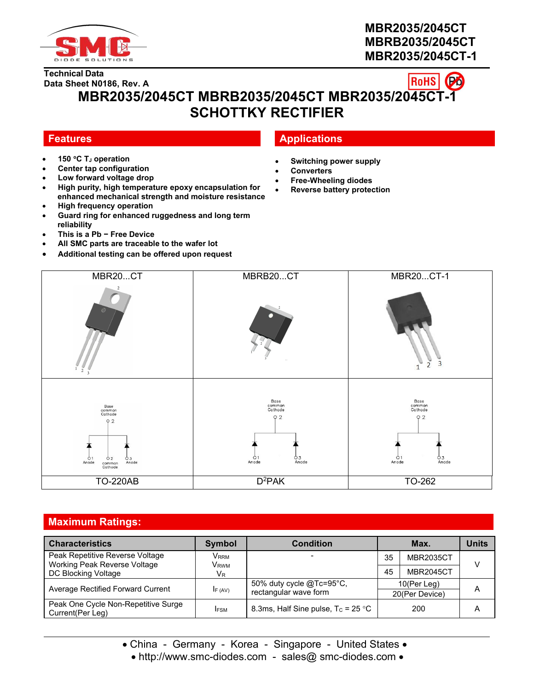

# **MBR2035/2045CT MBRB2035/2045CT MBR2035/2045CT-1**

#### **RoHS Data Sheet N0186, Rev. A MBR2035/2045CT MBRB2035/2045CT MBR2035/2045CT-1 SCHOTTKY RECTIFIER**

**Technical Data**

- **150 C T<sup>J</sup> operation**
- **Center tap configuration**
- **Low forward voltage drop**
- **High purity, high temperature epoxy encapsulation for enhanced mechanical strength and moisture resistance**
- **High frequency operation**
- **Guard ring for enhanced ruggedness and long term reliability**
- **This is a Pb − Free Device**
- **All SMC parts are traceable to the wafer lot**
- **Additional testing can be offered upon request**

# **Features Applications**

- **Switching power supply**
- **Converters**
- **Free-Wheeling diodes**
- **Reverse battery protection**



# **Maximum Ratings:**

| <b>Characteristics</b>                                          | Symbol                   | <b>Condition</b>                                            |    | Max.             | <b>Units</b> |
|-----------------------------------------------------------------|--------------------------|-------------------------------------------------------------|----|------------------|--------------|
| Peak Repetitive Reverse Voltage<br>Working Peak Reverse Voltage | Vrrm<br>V <sub>RWM</sub> |                                                             | 35 | MBR2035CT        | V            |
| DC Blocking Voltage                                             | <b>VR</b>                |                                                             | 45 | <b>MBR2045CT</b> |              |
| Average Rectified Forward Current                               | IF (AV)                  | 50% duty cycle $@Tc=95^{\circ}C$ ,<br>rectangular wave form |    | 10(Per Leg)      | Α            |
| Peak One Cycle Non-Repetitive Surge                             |                          |                                                             |    | 20(Per Device)   |              |
| Current(Per Leg)                                                | <b>IFSM</b>              | 8.3ms, Half Sine pulse, $T_c = 25 \degree C$                |    | 200              | Α            |

• China - Germany - Korea - Singapore - United States •

<sup>•</sup> http://www.smc-diodes.com - sales@ smc-diodes.com •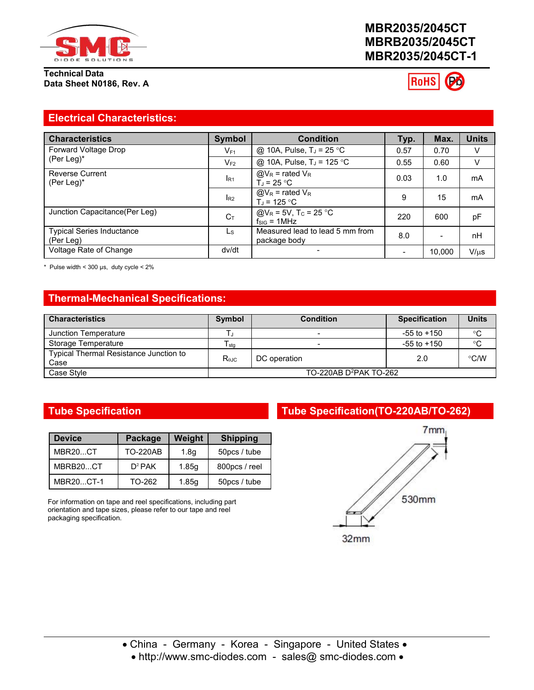

**Technical Data Data Sheet N0186, Rev. A**

# **MBR2035/2045CT MBRB2035/2045CT MBR2035/2045CT-1**



### **Electrical Characteristics:**

| <b>Characteristics</b>                        | Symbol   | <b>Condition</b>                                                         | Typ. | Max.           | <b>Units</b> |
|-----------------------------------------------|----------|--------------------------------------------------------------------------|------|----------------|--------------|
| Forward Voltage Drop                          | $V_{F1}$ | @ 10A, Pulse, $T_J = 25$ °C                                              | 0.57 | 0.70           | V            |
| (Per Leg)*                                    | $V_{F2}$ | @ 10A, Pulse, T <sub>J</sub> = 125 °C                                    | 0.55 | 0.60           | V            |
| <b>Reverse Current</b><br>(Per Leg)*          | $I_{R1}$ | $@V_R$ = rated $V_R$<br>$T_{\rm J}$ = 25 °C                              | 0.03 | 1.0            | mA           |
|                                               | $I_{R2}$ | $@V_R$ = rated $V_R$<br>$T_{\rm J}$ = 125 °C                             | 9    | 15             | mA           |
| Junction Capacitance(Per Leg)                 | $C_T$    | @V <sub>R</sub> = 5V, T <sub>C</sub> = 25 °C<br>$f_{\text{SIG}} = 1$ MHz | 220  | 600            | pF           |
| <b>Typical Series Inductance</b><br>(Per Leg) | Ls       | Measured lead to lead 5 mm from<br>package body                          | 8.0  | $\blacksquare$ | nH           |
| Voltage Rate of Change                        | dv/dt    | $\overline{\phantom{0}}$                                                 | $\,$ | 10,000         | $V/\mu s$    |

\* Pulse width  $<$  300 µs, duty cycle  $<$  2%

# **Thermal-Mechanical Specifications:**

| <b>Characteristics</b>                         | Symbol         | <b>Condition</b>                   | <b>Specification</b> | <b>Units</b> |
|------------------------------------------------|----------------|------------------------------------|----------------------|--------------|
| Junction Temperature                           |                |                                    | $-55$ to $+150$      | °C           |
| Storage Temperature                            | I stq          |                                    | $-55$ to $+150$      | $^{\circ}C$  |
| Typical Thermal Resistance Junction to<br>Case | $R_{\theta$ JC | DC operation                       | 2.0                  | °C/W         |
| Case Stvle                                     |                | TO-220AB D <sup>2</sup> PAK TO-262 |                      |              |

| <b>Device</b> | Package         | Weight | <b>Shipping</b> |
|---------------|-----------------|--------|-----------------|
| MBR20CT       | <b>TO-220AB</b> | 1.8a   | 50pcs / tube    |
| MBRB20CT      | $D^2$ PAK       | 1.85q  | 800pcs / reel   |
| MBR20CT-1     | TO-262          | 1.85q  | 50pcs / tube    |

For information on tape and reel specifications, including part orientation and tape sizes, please refer to our tape and reel packaging specification.

# **Tube Specification Tube Specification(TO-220AB/TO-262)**



• http://www.smc-diodes.com - sales@ smc-diodes.com •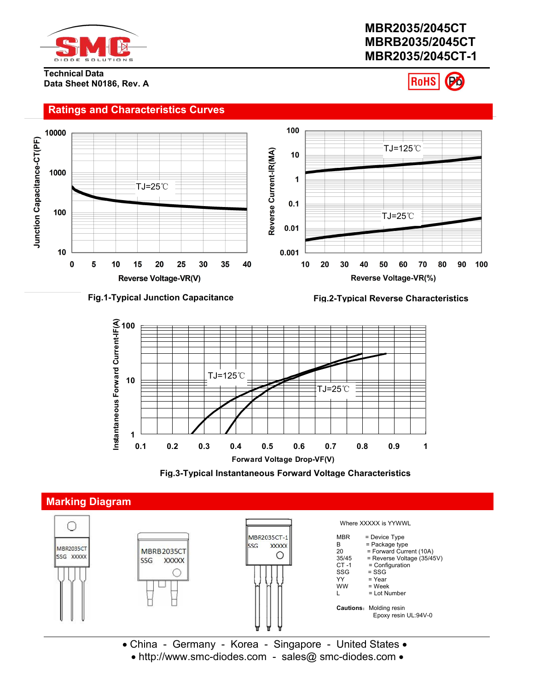

# **MBR2035/2045CT MBRB2035/2045CT MBR2035/2045CT-1**

**Technical Data Data Sheet N0186, Rev. A**

# **RoHS**



### **Fig.1-Typical Junction Capacitance Fig.2-Typical Reverse Characteristics**







• China - Germany - Korea - Singapore - United States • • http://www.smc-diodes.com - sales@ smc-diodes.com •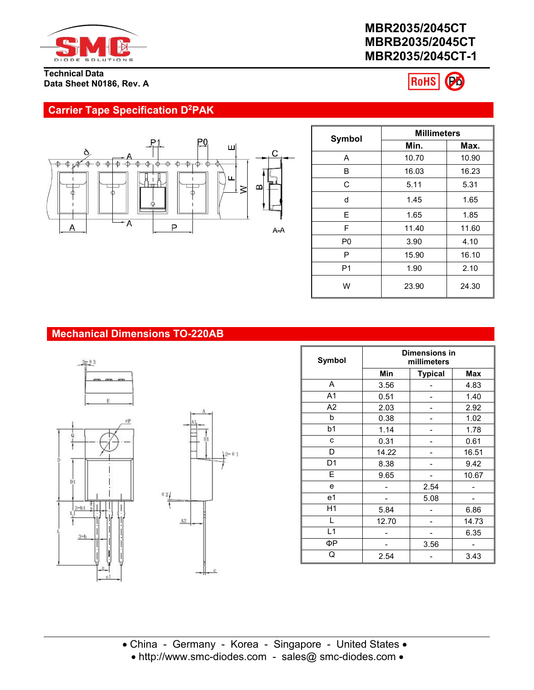

# **MBR2035/2045CT MBRB2035/2045CT MBR2035/2045CT-1**

RoHS Po

### **Technical Data Data Sheet N0186, Rev. A**

# **Carrier Tape Specification D<sup>2</sup>PAK**



|                | <b>Millimeters</b> |       |  |
|----------------|--------------------|-------|--|
| Symbol         | Min.               | Max.  |  |
| A              | 10.70              | 10.90 |  |
| B              | 16.03              | 16.23 |  |
| C              | 5.11               | 5.31  |  |
| d              | 1.45               | 1.65  |  |
| E              | 1.65               | 1.85  |  |
| F              | 11.40              | 11.60 |  |
| P <sub>0</sub> | 4.10<br>3.90       |       |  |
| P              | 16.10<br>15.90     |       |  |
| P <sub>1</sub> | 1.90               | 2.10  |  |
| W              | 23.90              | 24.30 |  |

# **Mechanical Dimensions TO-220AB**







| <b>Symbol</b>  | <b>Dimensions in</b><br>millimeters |                |       |
|----------------|-------------------------------------|----------------|-------|
|                | Min                                 | <b>Typical</b> | Max   |
| A              | 3.56                                |                | 4.83  |
| A <sub>1</sub> | 0.51                                |                | 1.40  |
| A2             | 2.03                                |                | 2.92  |
| b              | 0.38                                |                | 1.02  |
| b <sub>1</sub> | 1.14                                | -              | 1.78  |
| c              | 0.31                                |                | 0.61  |
| D              | 14.22                               |                | 16.51 |
| D <sub>1</sub> | 8.38                                |                | 9.42  |
| E              | 9.65                                |                | 10.67 |
| e              |                                     | 2.54           |       |
| e <sub>1</sub> |                                     | 5.08           |       |
| H1             | 5.84                                |                | 6.86  |
|                | 12.70                               |                | 14.73 |
| L1             |                                     |                | 6.35  |
| ФΡ             |                                     | 3.56           |       |
| Q              | 2.54                                |                | 3.43  |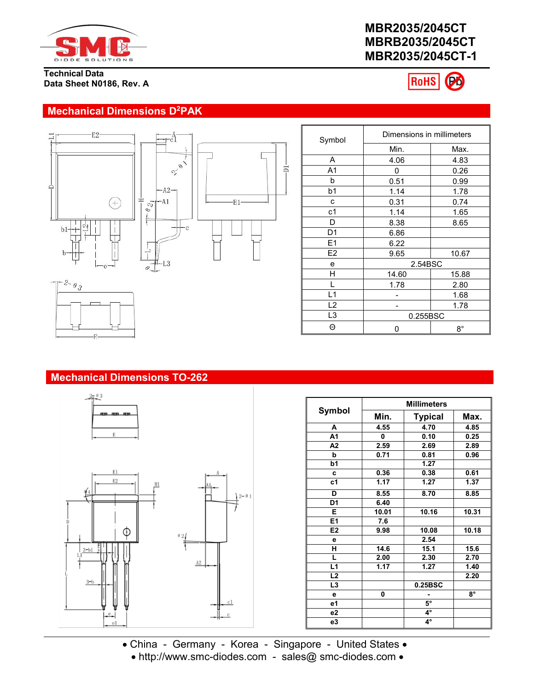

#### **Technical Data Data Sheet N0186, Rev. A**

# **MBR2035/2045CT MBRB2035/2045CT MBR2035/2045CT-1**



Dimensions in millimeters

# **Mechanical Dimensions D<sup>2</sup>PAK**



|                | Min.     | Max.        |
|----------------|----------|-------------|
| Α              | 4.06     | 4.83        |
| A <sub>1</sub> | 0        | 0.26        |
| b              | 0.51     | 0.99        |
| b <sub>1</sub> | 1.14     | 1.78        |
| c              | 0.31     | 0.74        |
| c1             | 1.14     | 1.65        |
| D              | 8.38     | 8.65        |
| D <sub>1</sub> | 6.86     |             |
| E1             | 6.22     |             |
| E <sub>2</sub> | 9.65     | 10.67       |
| e              | 2.54BSC  |             |
| Н              | 14.60    | 15.88       |
|                | 1.78     | 2.80        |
| L1             |          | 1.68        |
| L2             |          | 1.78        |
| L <sub>3</sub> | 0.255BSC |             |
| Θ              | 0        | $8^{\circ}$ |

Symbol



## **Mechanical Dimensions TO-262**



|                | <b>Millimeters</b> |                |           |  |
|----------------|--------------------|----------------|-----------|--|
| <b>Symbol</b>  | Min.               | <b>Typical</b> | Max.      |  |
| A              | 4.55               | 4.70           | 4.85      |  |
| A1             | 0                  | 0.10           | 0.25      |  |
| A <sub>2</sub> | 2.59               | 2.69           | 2.89      |  |
| b              | 0.71               | 0.81           | 0.96      |  |
| b1             |                    | 1.27           |           |  |
| c              | 0.36               | 0.38           | 0.61      |  |
| c <sub>1</sub> | 1.17               | 1.27           | 1.37      |  |
| D              | 8.55               | 8.70           | 8.85      |  |
| D <sub>1</sub> | 6.40               |                |           |  |
| Е              | 10.01              | 10.16          | 10.31     |  |
| E1             | 7.6                |                |           |  |
| E <sub>2</sub> | 9.98               | 10.08          | 10.18     |  |
| е              |                    | 2.54           |           |  |
| н              | 14.6               | 15.1           | 15.6      |  |
| L              | 2.00               | 2.30           | 2.70      |  |
| L1             | 1.17               | 1.27           | 1.40      |  |
| L2             |                    |                | 2.20      |  |
| L3             |                    | 0.25BSC        |           |  |
| е              | 0                  |                | $8^\circ$ |  |
| e1             |                    | $5^\circ$      |           |  |
| e2             |                    | 4°             |           |  |
| e3             |                    | 4°             |           |  |

China - Germany - Korea - Singapore - United States

• http://www.smc-diodes.com - sales@ smc-diodes.com •